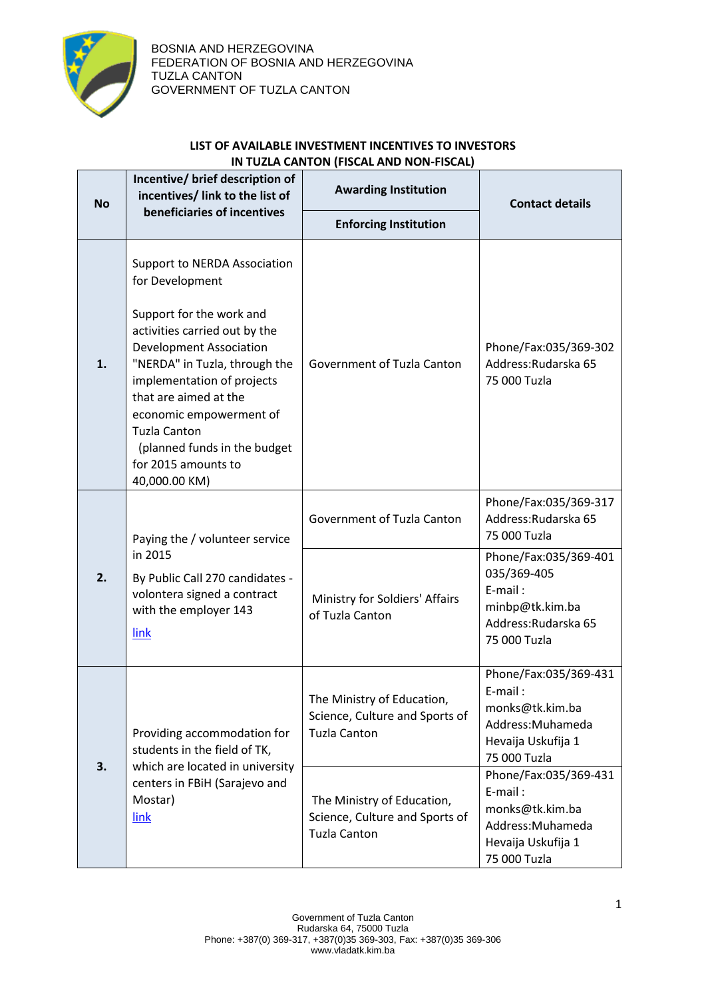

## **LIST OF AVAILABLE INVESTMENT INCENTIVES TO INVESTORS IN TUZLA CANTON (FISCAL AND NON-FISCAL)**

| <b>No</b> | Incentive/ brief description of<br>incentives/ link to the list of<br>beneficiaries of incentives                                                                                                                                                                                                                                                                | <b>Awarding Institution</b>                                                         | <b>Contact details</b>                                                                                                                                                      |
|-----------|------------------------------------------------------------------------------------------------------------------------------------------------------------------------------------------------------------------------------------------------------------------------------------------------------------------------------------------------------------------|-------------------------------------------------------------------------------------|-----------------------------------------------------------------------------------------------------------------------------------------------------------------------------|
|           |                                                                                                                                                                                                                                                                                                                                                                  | <b>Enforcing Institution</b>                                                        |                                                                                                                                                                             |
| 1.        | Support to NERDA Association<br>for Development<br>Support for the work and<br>activities carried out by the<br><b>Development Association</b><br>"NERDA" in Tuzla, through the<br>implementation of projects<br>that are aimed at the<br>economic empowerment of<br><b>Tuzla Canton</b><br>(planned funds in the budget<br>for 2015 amounts to<br>40,000.00 KM) | Government of Tuzla Canton                                                          | Phone/Fax:035/369-302<br>Address: Rudarska 65<br>75 000 Tuzla                                                                                                               |
| 2.        | Paying the / volunteer service<br>in 2015<br>By Public Call 270 candidates -<br>volontera signed a contract<br>with the employer 143<br>link                                                                                                                                                                                                                     | Government of Tuzla Canton<br>Ministry for Soldiers' Affairs<br>of Tuzla Canton     | Phone/Fax:035/369-317<br>Address: Rudarska 65<br>75 000 Tuzla<br>Phone/Fax:035/369-401<br>035/369-405<br>E-mail:<br>minbp@tk.kim.ba<br>Address: Rudarska 65<br>75 000 Tuzla |
| 3.        | Providing accommodation for<br>students in the field of TK,<br>which are located in university<br>centers in FBiH (Sarajevo and<br>Mostar)<br>link                                                                                                                                                                                                               | The Ministry of Education,<br>Science, Culture and Sports of<br><b>Tuzla Canton</b> | Phone/Fax:035/369-431<br>E-mail:<br>monks@tk.kim.ba<br>Address: Muhameda<br>Hevaija Uskufija 1<br>75 000 Tuzla                                                              |
|           |                                                                                                                                                                                                                                                                                                                                                                  | The Ministry of Education,<br>Science, Culture and Sports of<br><b>Tuzla Canton</b> | Phone/Fax:035/369-431<br>E-mail:<br>monks@tk.kim.ba<br>Address: Muhameda<br>Hevaija Uskufija 1<br>75 000 Tuzla                                                              |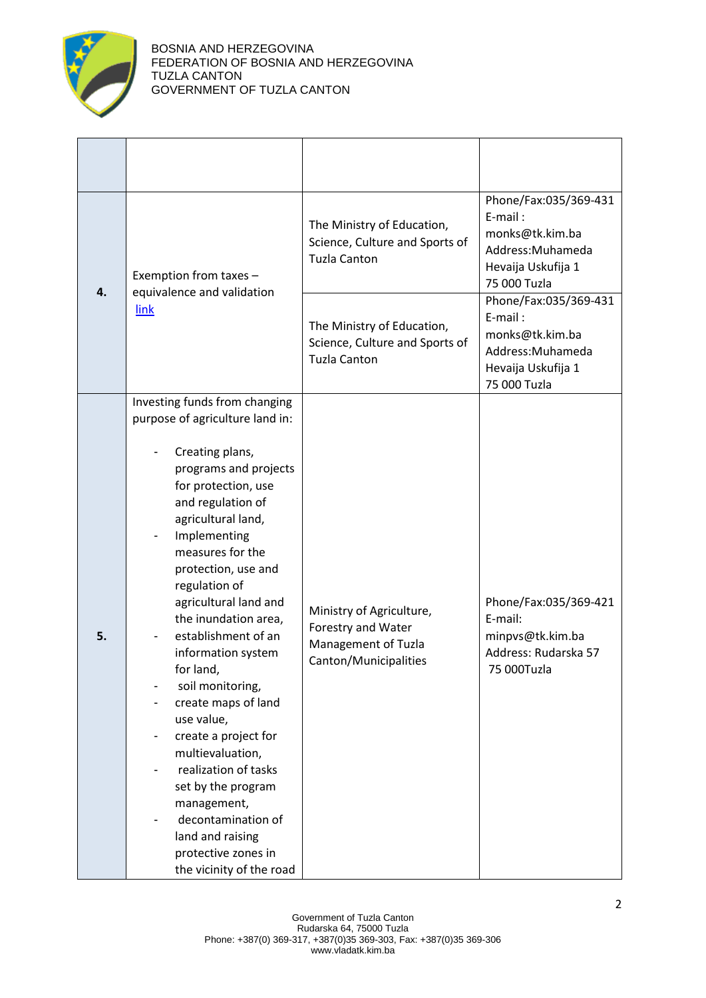

|    | Exemption from taxes -                                                                                                                                                                                                                                                                                                                                                                                                                                                                                                                                                                                                               | The Ministry of Education,<br>Science, Culture and Sports of<br><b>Tuzla Canton</b>            | Phone/Fax:035/369-431<br>E-mail:<br>monks@tk.kim.ba<br>Address: Muhameda<br>Hevaija Uskufija 1<br>75 000 Tuzla |
|----|--------------------------------------------------------------------------------------------------------------------------------------------------------------------------------------------------------------------------------------------------------------------------------------------------------------------------------------------------------------------------------------------------------------------------------------------------------------------------------------------------------------------------------------------------------------------------------------------------------------------------------------|------------------------------------------------------------------------------------------------|----------------------------------------------------------------------------------------------------------------|
| 4. | equivalence and validation<br>link                                                                                                                                                                                                                                                                                                                                                                                                                                                                                                                                                                                                   | The Ministry of Education,<br>Science, Culture and Sports of<br><b>Tuzla Canton</b>            | Phone/Fax:035/369-431<br>E-mail:<br>monks@tk.kim.ba<br>Address: Muhameda<br>Hevaija Uskufija 1<br>75 000 Tuzla |
| 5. | Investing funds from changing<br>purpose of agriculture land in:<br>Creating plans,<br>programs and projects<br>for protection, use<br>and regulation of<br>agricultural land,<br>Implementing<br>measures for the<br>protection, use and<br>regulation of<br>agricultural land and<br>the inundation area,<br>establishment of an<br>information system<br>for land,<br>soil monitoring,<br>create maps of land<br>use value,<br>create a project for<br>multievaluation,<br>realization of tasks<br>set by the program<br>management,<br>decontamination of<br>land and raising<br>protective zones in<br>the vicinity of the road | Ministry of Agriculture,<br>Forestry and Water<br>Management of Tuzla<br>Canton/Municipalities | Phone/Fax:035/369-421<br>E-mail:<br>minpvs@tk.kim.ba<br>Address: Rudarska 57<br>75 000Tuzla                    |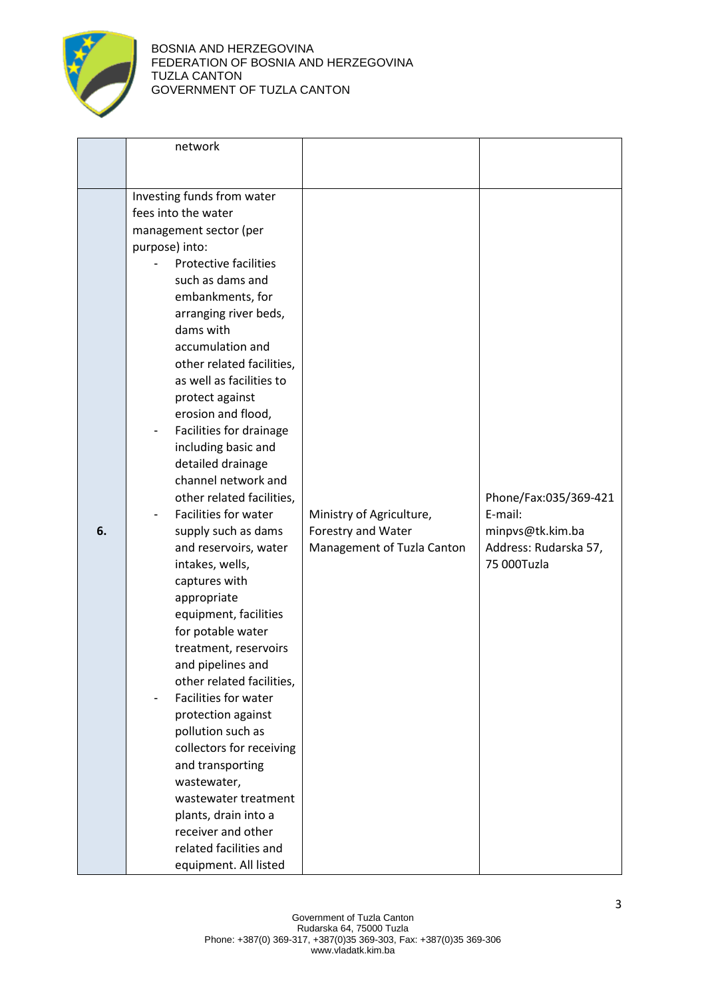

|    | network                      |                            |                                      |
|----|------------------------------|----------------------------|--------------------------------------|
|    |                              |                            |                                      |
|    |                              |                            |                                      |
|    | Investing funds from water   |                            |                                      |
|    | fees into the water          |                            |                                      |
|    | management sector (per       |                            |                                      |
|    | purpose) into:               |                            |                                      |
|    | <b>Protective facilities</b> |                            |                                      |
|    | such as dams and             |                            |                                      |
|    | embankments, for             |                            |                                      |
|    | arranging river beds,        |                            |                                      |
|    | dams with                    |                            |                                      |
|    | accumulation and             |                            |                                      |
|    | other related facilities,    |                            |                                      |
|    | as well as facilities to     |                            |                                      |
|    | protect against              |                            |                                      |
|    | erosion and flood,           |                            |                                      |
|    | Facilities for drainage      |                            |                                      |
|    | including basic and          |                            |                                      |
|    | detailed drainage            |                            |                                      |
|    | channel network and          |                            |                                      |
|    | other related facilities,    |                            | Phone/Fax:035/369-421                |
|    | Facilities for water         | Ministry of Agriculture,   | E-mail:                              |
| 6. | supply such as dams          | Forestry and Water         | minpvs@tk.kim.ba                     |
|    |                              |                            |                                      |
|    | and reservoirs, water        | Management of Tuzla Canton | Address: Rudarska 57,<br>75 000Tuzla |
|    | intakes, wells,              |                            |                                      |
|    | captures with                |                            |                                      |
|    | appropriate                  |                            |                                      |
|    | equipment, facilities        |                            |                                      |
|    | for potable water            |                            |                                      |
|    | treatment, reservoirs        |                            |                                      |
|    | and pipelines and            |                            |                                      |
|    | other related facilities,    |                            |                                      |
|    | Facilities for water         |                            |                                      |
|    | protection against           |                            |                                      |
|    | pollution such as            |                            |                                      |
|    | collectors for receiving     |                            |                                      |
|    | and transporting             |                            |                                      |
|    | wastewater,                  |                            |                                      |
|    | wastewater treatment         |                            |                                      |
|    | plants, drain into a         |                            |                                      |
|    | receiver and other           |                            |                                      |
|    | related facilities and       |                            |                                      |
|    |                              |                            |                                      |
|    | equipment. All listed        |                            |                                      |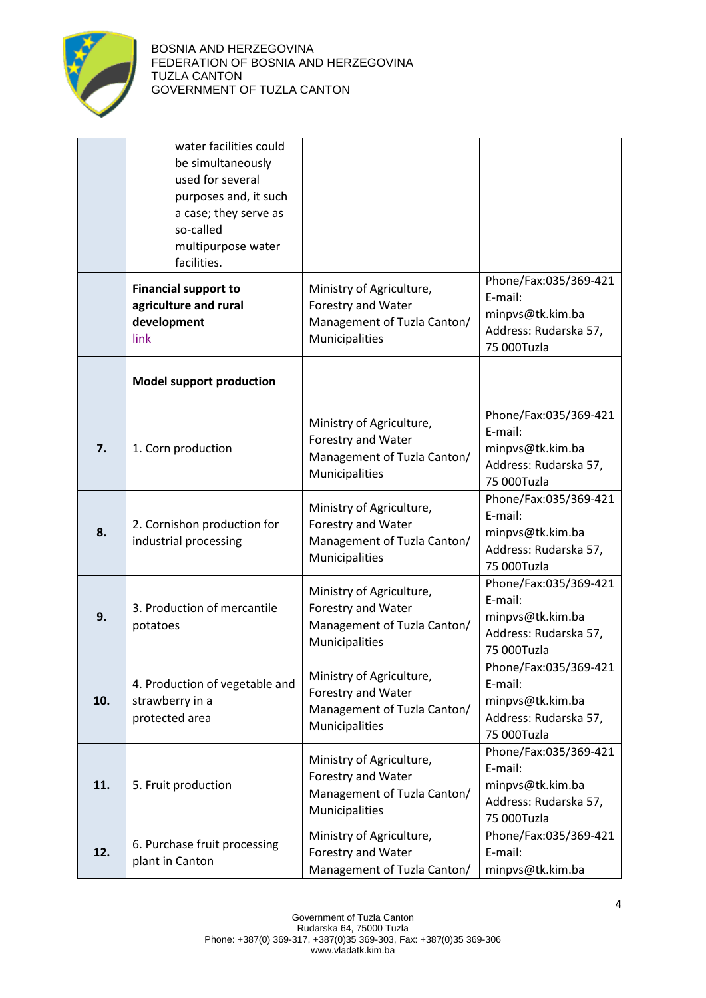

|     | water facilities could<br>be simultaneously<br>used for several<br>purposes and, it such<br>a case; they serve as<br>so-called<br>multipurpose water<br>facilities. |                                                                                                 |                                                                                              |
|-----|---------------------------------------------------------------------------------------------------------------------------------------------------------------------|-------------------------------------------------------------------------------------------------|----------------------------------------------------------------------------------------------|
|     | <b>Financial support to</b><br>agriculture and rural<br>development<br>link                                                                                         | Ministry of Agriculture,<br>Forestry and Water<br>Management of Tuzla Canton/<br>Municipalities | Phone/Fax:035/369-421<br>E-mail:<br>minpvs@tk.kim.ba<br>Address: Rudarska 57,<br>75 000Tuzla |
|     | <b>Model support production</b>                                                                                                                                     |                                                                                                 |                                                                                              |
| 7.  | 1. Corn production                                                                                                                                                  | Ministry of Agriculture,<br>Forestry and Water<br>Management of Tuzla Canton/<br>Municipalities | Phone/Fax:035/369-421<br>E-mail:<br>minpvs@tk.kim.ba<br>Address: Rudarska 57,<br>75 000Tuzla |
| 8.  | 2. Cornishon production for<br>industrial processing                                                                                                                | Ministry of Agriculture,<br>Forestry and Water<br>Management of Tuzla Canton/<br>Municipalities | Phone/Fax:035/369-421<br>E-mail:<br>minpvs@tk.kim.ba<br>Address: Rudarska 57,<br>75 000Tuzla |
| 9.  | 3. Production of mercantile<br>potatoes                                                                                                                             | Ministry of Agriculture,<br>Forestry and Water<br>Management of Tuzla Canton/<br>Municipalities | Phone/Fax:035/369-421<br>E-mail:<br>minpvs@tk.kim.ba<br>Address: Rudarska 57,<br>75 000Tuzla |
| 10. | 4. Production of vegetable and<br>strawberry in a<br>protected area                                                                                                 | Ministry of Agriculture,<br>Forestry and Water<br>Management of Tuzla Canton/<br>Municipalities | Phone/Fax:035/369-421<br>E-mail:<br>minpvs@tk.kim.ba<br>Address: Rudarska 57,<br>75 000Tuzla |
| 11. | 5. Fruit production                                                                                                                                                 | Ministry of Agriculture,<br>Forestry and Water<br>Management of Tuzla Canton/<br>Municipalities | Phone/Fax:035/369-421<br>E-mail:<br>minpvs@tk.kim.ba<br>Address: Rudarska 57,<br>75 000Tuzla |
| 12. | 6. Purchase fruit processing<br>plant in Canton                                                                                                                     | Ministry of Agriculture,<br>Forestry and Water<br>Management of Tuzla Canton/                   | Phone/Fax:035/369-421<br>E-mail:<br>minpvs@tk.kim.ba                                         |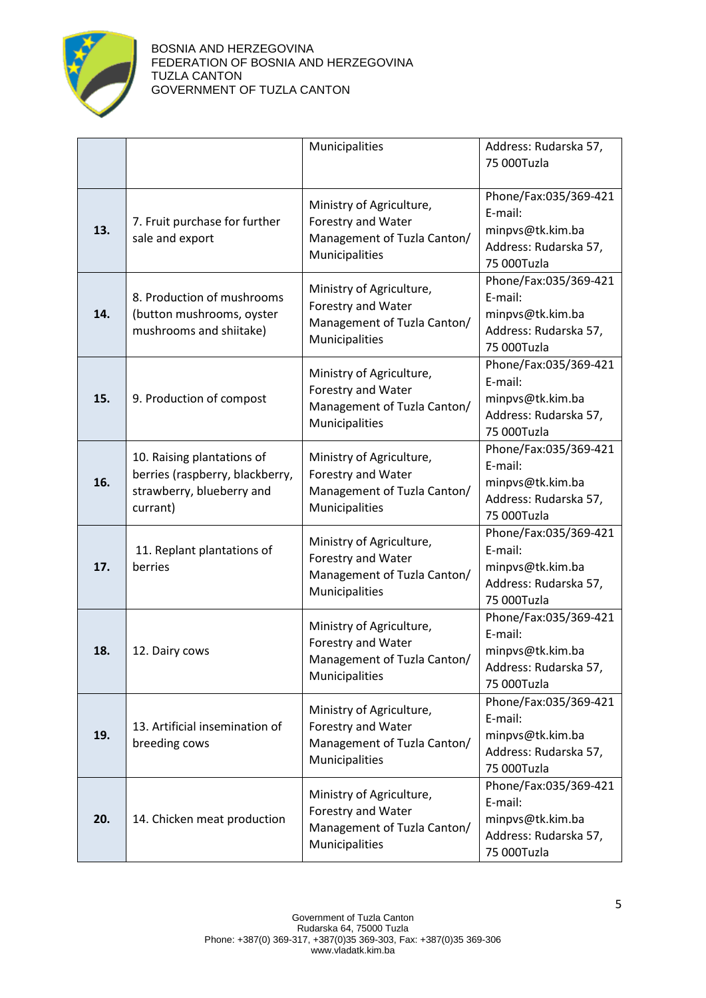

## BOSNIA AND HERZEGOVINA FEDERATION OF BOSNIA AND HERZEGOVINA TUZLA CANTON GOVERNMENT OF TUZLA CANTON

|     |                                                                                                        | Municipalities                                                                                  | Address: Rudarska 57,<br>75 000Tuzla                                                         |
|-----|--------------------------------------------------------------------------------------------------------|-------------------------------------------------------------------------------------------------|----------------------------------------------------------------------------------------------|
| 13. | 7. Fruit purchase for further<br>sale and export                                                       | Ministry of Agriculture,<br>Forestry and Water<br>Management of Tuzla Canton/<br>Municipalities | Phone/Fax:035/369-421<br>E-mail:<br>minpvs@tk.kim.ba<br>Address: Rudarska 57,<br>75 000Tuzla |
| 14. | 8. Production of mushrooms<br>(button mushrooms, oyster<br>mushrooms and shiitake)                     | Ministry of Agriculture,<br>Forestry and Water<br>Management of Tuzla Canton/<br>Municipalities | Phone/Fax:035/369-421<br>E-mail:<br>minpvs@tk.kim.ba<br>Address: Rudarska 57,<br>75 000Tuzla |
| 15. | 9. Production of compost                                                                               | Ministry of Agriculture,<br>Forestry and Water<br>Management of Tuzla Canton/<br>Municipalities | Phone/Fax:035/369-421<br>E-mail:<br>minpvs@tk.kim.ba<br>Address: Rudarska 57,<br>75 000Tuzla |
| 16. | 10. Raising plantations of<br>berries (raspberry, blackberry,<br>strawberry, blueberry and<br>currant) | Ministry of Agriculture,<br>Forestry and Water<br>Management of Tuzla Canton/<br>Municipalities | Phone/Fax:035/369-421<br>E-mail:<br>minpvs@tk.kim.ba<br>Address: Rudarska 57,<br>75 000Tuzla |
| 17. | 11. Replant plantations of<br>berries                                                                  | Ministry of Agriculture,<br>Forestry and Water<br>Management of Tuzla Canton/<br>Municipalities | Phone/Fax:035/369-421<br>E-mail:<br>minpvs@tk.kim.ba<br>Address: Rudarska 57,<br>75 000Tuzla |
| 18. | 12. Dairy cows                                                                                         | Ministry of Agriculture,<br>Forestry and Water<br>Management of Tuzla Canton/<br>Municipalities | Phone/Fax:035/369-421<br>E-mail:<br>minpvs@tk.kim.ba<br>Address: Rudarska 57,<br>75 000Tuzla |
| 19. | 13. Artificial insemination of<br>breeding cows                                                        | Ministry of Agriculture,<br>Forestry and Water<br>Management of Tuzla Canton/<br>Municipalities | Phone/Fax:035/369-421<br>E-mail:<br>minpvs@tk.kim.ba<br>Address: Rudarska 57,<br>75 000Tuzla |
| 20. | 14. Chicken meat production                                                                            | Ministry of Agriculture,<br>Forestry and Water<br>Management of Tuzla Canton/<br>Municipalities | Phone/Fax:035/369-421<br>E-mail:<br>minpvs@tk.kim.ba<br>Address: Rudarska 57,<br>75 000Tuzla |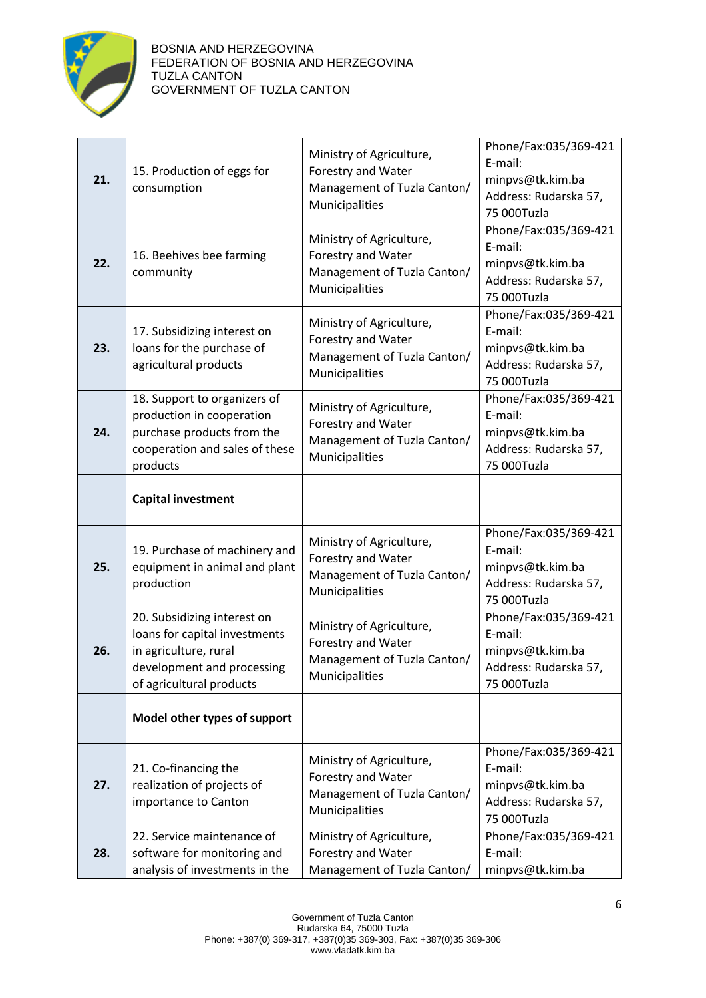

| 21. | 15. Production of eggs for<br>consumption                                                                                                       | Ministry of Agriculture,<br>Forestry and Water<br>Management of Tuzla Canton/<br>Municipalities | Phone/Fax:035/369-421<br>E-mail:<br>minpvs@tk.kim.ba<br>Address: Rudarska 57,<br>75 000Tuzla |
|-----|-------------------------------------------------------------------------------------------------------------------------------------------------|-------------------------------------------------------------------------------------------------|----------------------------------------------------------------------------------------------|
| 22. | 16. Beehives bee farming<br>community                                                                                                           | Ministry of Agriculture,<br>Forestry and Water<br>Management of Tuzla Canton/<br>Municipalities | Phone/Fax:035/369-421<br>E-mail:<br>minpvs@tk.kim.ba<br>Address: Rudarska 57,<br>75 000Tuzla |
| 23. | 17. Subsidizing interest on<br>loans for the purchase of<br>agricultural products                                                               | Ministry of Agriculture,<br>Forestry and Water<br>Management of Tuzla Canton/<br>Municipalities | Phone/Fax:035/369-421<br>E-mail:<br>minpvs@tk.kim.ba<br>Address: Rudarska 57,<br>75 000Tuzla |
| 24. | 18. Support to organizers of<br>production in cooperation<br>purchase products from the<br>cooperation and sales of these<br>products           | Ministry of Agriculture,<br>Forestry and Water<br>Management of Tuzla Canton/<br>Municipalities | Phone/Fax:035/369-421<br>E-mail:<br>minpvs@tk.kim.ba<br>Address: Rudarska 57,<br>75 000Tuzla |
|     | <b>Capital investment</b>                                                                                                                       |                                                                                                 |                                                                                              |
| 25. | 19. Purchase of machinery and<br>equipment in animal and plant<br>production                                                                    | Ministry of Agriculture,<br>Forestry and Water<br>Management of Tuzla Canton/<br>Municipalities | Phone/Fax:035/369-421<br>E-mail:<br>minpvs@tk.kim.ba<br>Address: Rudarska 57,<br>75 000Tuzla |
| 26. | 20. Subsidizing interest on<br>loans for capital investments<br>in agriculture, rural<br>development and processing<br>of agricultural products | Ministry of Agriculture,<br>Forestry and Water<br>Management of Tuzla Canton/<br>Municipalities | Phone/Fax:035/369-421<br>E-mail:<br>minpvs@tk.kim.ba<br>Address: Rudarska 57,<br>75 000Tuzla |
|     | Model other types of support                                                                                                                    |                                                                                                 |                                                                                              |
| 27. | 21. Co-financing the<br>realization of projects of<br>importance to Canton                                                                      | Ministry of Agriculture,<br>Forestry and Water<br>Management of Tuzla Canton/<br>Municipalities | Phone/Fax:035/369-421<br>E-mail:<br>minpvs@tk.kim.ba<br>Address: Rudarska 57,<br>75 000Tuzla |
| 28. | 22. Service maintenance of<br>software for monitoring and<br>analysis of investments in the                                                     | Ministry of Agriculture,<br>Forestry and Water<br>Management of Tuzla Canton/                   | Phone/Fax:035/369-421<br>E-mail:<br>minpvs@tk.kim.ba                                         |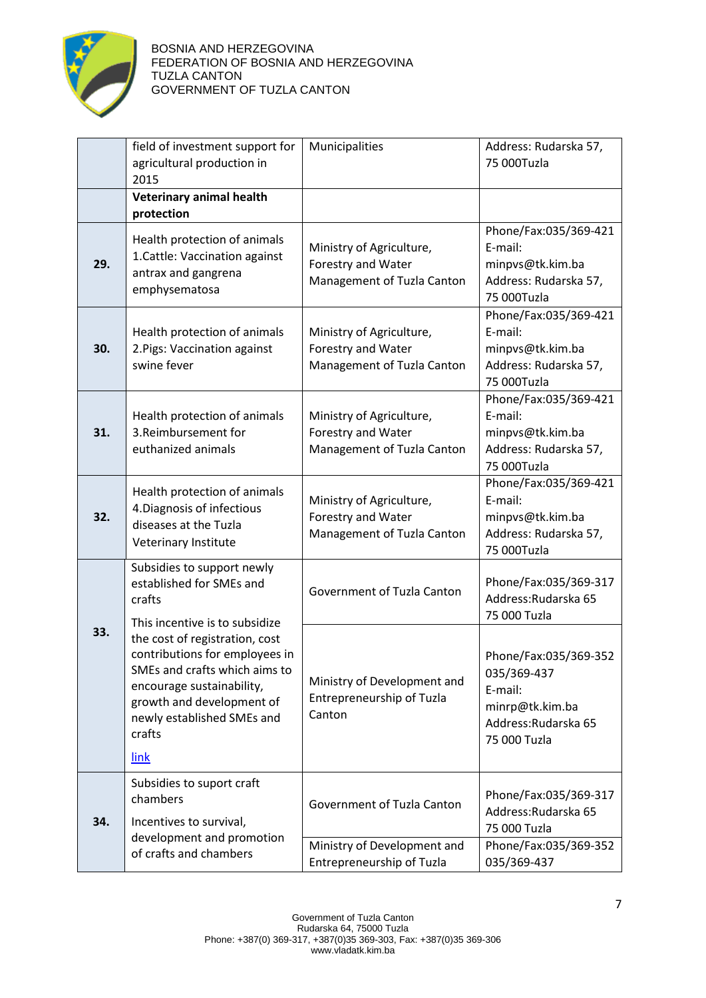

|     | field of investment support for<br>agricultural production in<br>2015                                                                                                                                       | Municipalities                                                               | Address: Rudarska 57,<br>75 000Tuzla                                                                       |
|-----|-------------------------------------------------------------------------------------------------------------------------------------------------------------------------------------------------------------|------------------------------------------------------------------------------|------------------------------------------------------------------------------------------------------------|
|     | Veterinary animal health<br>protection                                                                                                                                                                      |                                                                              |                                                                                                            |
| 29. | Health protection of animals<br>1. Cattle: Vaccination against<br>antrax and gangrena<br>emphysematosa                                                                                                      | Ministry of Agriculture,<br>Forestry and Water<br>Management of Tuzla Canton | Phone/Fax:035/369-421<br>E-mail:<br>minpvs@tk.kim.ba<br>Address: Rudarska 57,<br>75 000Tuzla               |
| 30. | Health protection of animals<br>2. Pigs: Vaccination against<br>swine fever                                                                                                                                 | Ministry of Agriculture,<br>Forestry and Water<br>Management of Tuzla Canton | Phone/Fax:035/369-421<br>E-mail:<br>minpvs@tk.kim.ba<br>Address: Rudarska 57,<br>75 000Tuzla               |
| 31. | Health protection of animals<br>3. Reimbursement for<br>euthanized animals                                                                                                                                  | Ministry of Agriculture,<br>Forestry and Water<br>Management of Tuzla Canton | Phone/Fax:035/369-421<br>E-mail:<br>minpvs@tk.kim.ba<br>Address: Rudarska 57,<br>75 000Tuzla               |
| 32. | Health protection of animals<br>4. Diagnosis of infectious<br>diseases at the Tuzla<br>Veterinary Institute                                                                                                 | Ministry of Agriculture,<br>Forestry and Water<br>Management of Tuzla Canton | Phone/Fax:035/369-421<br>E-mail:<br>minpvs@tk.kim.ba<br>Address: Rudarska 57,<br>75 000Tuzla               |
|     | Subsidies to support newly<br>established for SMEs and<br>crafts<br>This incentive is to subsidize                                                                                                          | Government of Tuzla Canton                                                   | Phone/Fax:035/369-317<br>Address: Rudarska 65<br>75 000 Tuzla                                              |
| 33. | the cost of registration, cost<br>contributions for employees in<br>SMEs and crafts which aims to<br>encourage sustainability,<br>growth and development of<br>newly established SMEs and<br>crafts<br>link | Ministry of Development and<br>Entrepreneurship of Tuzla<br>Canton           | Phone/Fax:035/369-352<br>035/369-437<br>E-mail:<br>minrp@tk.kim.ba<br>Address: Rudarska 65<br>75 000 Tuzla |
|     | Subsidies to suport craft                                                                                                                                                                                   |                                                                              | Phone/Fax:035/369-317                                                                                      |
| 34. | chambers<br>Incentives to survival,                                                                                                                                                                         | Government of Tuzla Canton                                                   | Address: Rudarska 65<br>75 000 Tuzla                                                                       |
|     | development and promotion<br>of crafts and chambers                                                                                                                                                         | Ministry of Development and<br>Entrepreneurship of Tuzla                     | Phone/Fax:035/369-352<br>035/369-437                                                                       |